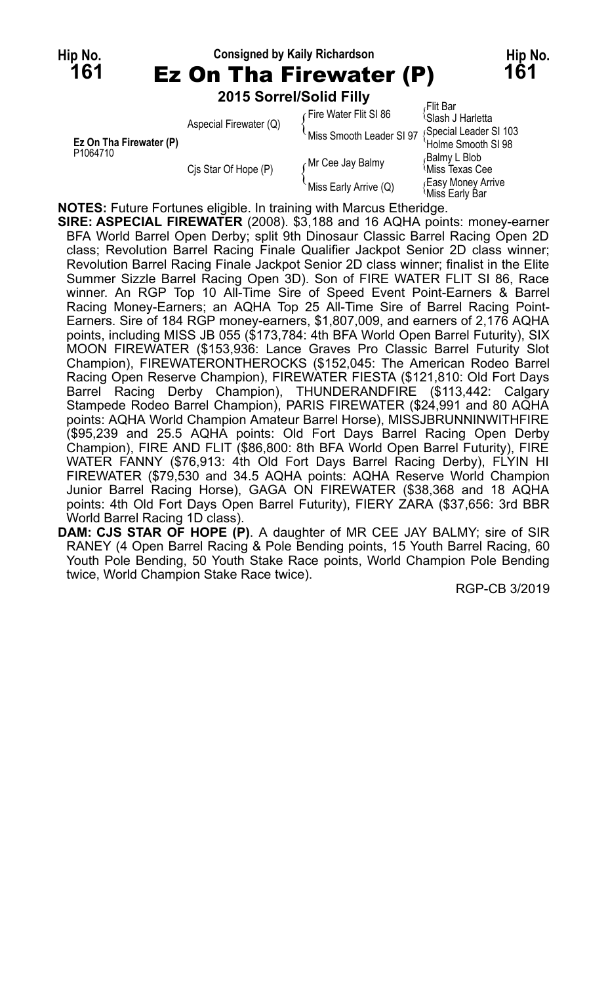**Hip No. Consigned by Kaily Richardson Hip No. 161** Ez On Tha Firewater (P) **161 2015 Sorrel/Solid Filly** Flit Bar

|  |                                                 | Aspecial Firewater (Q) | Fire Water Flit SI 86 ہ   | <sup>{</sup> Slash J Harletta              |
|--|-------------------------------------------------|------------------------|---------------------------|--------------------------------------------|
|  |                                                 |                        | 'Miss Smooth Leader SI 97 | Special Leader SI 103                      |
|  | Ez On Tha Firewater (P)<br>P <sub>1064710</sub> |                        |                           | 'Holme Smooth SI 98                        |
|  |                                                 |                        | Mr Cee Jay Balmy          | Balmy L Blob،                              |
|  |                                                 | Cis Star Of Hope (P)   |                           | Miss Texas Cee                             |
|  |                                                 |                        | Miss Early Arrive (Q)     | <b>Easy Money Arrive</b><br>Miss Early Bar |

**NOTES:** Future Fortunes eligible. In training with Marcus Etheridge.

**SIRE: ASPECIAL FIREWATER** (2008). \$3,188 and 16 AQHA points: money-earner BFA World Barrel Open Derby; split 9th Dinosaur Classic Barrel Racing Open 2D class; Revolution Barrel Racing Finale Qualifier Jackpot Senior 2D class winner; Revolution Barrel Racing Finale Jackpot Senior 2D class winner; finalist in the Elite Summer Sizzle Barrel Racing Open 3D). Son of FIRE WATER FLIT SI 86, Race winner. An RGP Top 10 All-Time Sire of Speed Event Point-Earners & Barrel Racing Money-Earners; an AQHA Top 25 All-Time Sire of Barrel Racing Point-Earners. Sire of 184 RGP money-earners, \$1,807,009, and earners of 2,176 AQHA points, including MISS JB 055 (\$173,784: 4th BFA World Open Barrel Futurity), SIX MOON FIREWATER (\$153,936: Lance Graves Pro Classic Barrel Futurity Slot Champion), FIREWATERONTHEROCKS (\$152,045: The American Rodeo Barrel Racing Open Reserve Champion), FIREWATER FIESTA (\$121,810: Old Fort Days Barrel Racing Derby Champion), THUNDERANDFIRE (\$113,442: Calgary Stampede Rodeo Barrel Champion), PARIS FIREWATER (\$24,991 and 80 AQHA points: AQHA World Champion Amateur Barrel Horse), MISSJBRUNNINWITHFIRE (\$95,239 and 25.5 AQHA points: Old Fort Days Barrel Racing Open Derby Champion), FIRE AND FLIT (\$86,800: 8th BFA World Open Barrel Futurity), FIRE WATER FANNY (\$76,913: 4th Old Fort Days Barrel Racing Derby), FLYIN HI FIREWATER (\$79,530 and 34.5 AQHA points: AQHA Reserve World Champion Junior Barrel Racing Horse), GAGA ON FIREWATER (\$38,368 and 18 AQHA points: 4th Old Fort Days Open Barrel Futurity), FIERY ZARA (\$37,656: 3rd BBR World Barrel Racing 1D class).

**DAM: CJS STAR OF HOPE (P)**. A daughter of MR CEE JAY BALMY; sire of SIR RANEY (4 Open Barrel Racing & Pole Bending points, 15 Youth Barrel Racing, 60 Youth Pole Bending, 50 Youth Stake Race points, World Champion Pole Bending twice, World Champion Stake Race twice).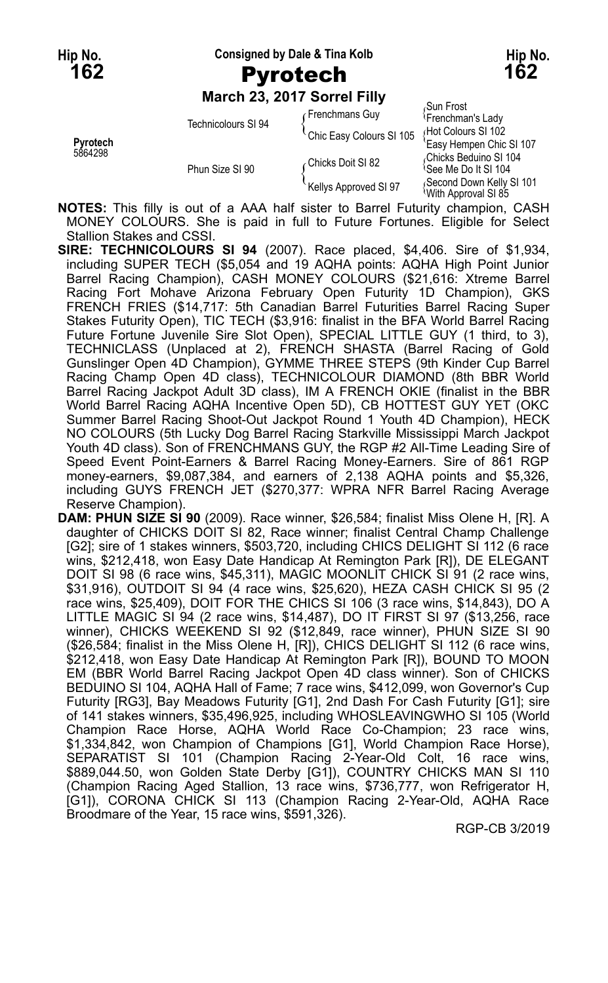**Hip No. Consigned by Dale & Tina Kolb Hip No.**

### **162** Pyrotech **162**

**March 23, 2017 Sorrel Filly**

|                     | Technicolours SI 94 | Frenchmans Guy           | Sun Frost<br><sup>{</sup> Frenchman's Lady      |
|---------------------|---------------------|--------------------------|-------------------------------------------------|
| Pyrotech<br>5864298 |                     | Chic Easy Colours SI 105 | Hot Colours SI 102<br>'Easy Hempen Chic SI 107  |
|                     | Phun Size SI 90     | ∠Chicks Doit SI 82       | Chicks Beduino SI 104<br>ੈSee Me Do It SI 104   |
|                     |                     | Kellys Approved SI 97    | Second Down Kelly SI 101<br>With Approval SI 85 |

**NOTES:** This filly is out of a AAA half sister to Barrel Futurity champion, CASH MONEY COLOURS. She is paid in full to Future Fortunes. Eligible for Select Stallion Stakes and CSSI.

**SIRE: TECHNICOLOURS SI 94** (2007). Race placed, \$4,406. Sire of \$1,934, including SUPER TECH (\$5,054 and 19 AQHA points: AQHA High Point Junior Barrel Racing Champion), CASH MONEY COLOURS (\$21,616: Xtreme Barrel Racing Fort Mohave Arizona February Open Futurity 1D Champion), GKS FRENCH FRIES (\$14,717: 5th Canadian Barrel Futurities Barrel Racing Super Stakes Futurity Open), TIC TECH (\$3,916: finalist in the BFA World Barrel Racing Future Fortune Juvenile Sire Slot Open), SPECIAL LITTLE GUY (1 third, to 3), TECHNICLASS (Unplaced at 2), FRENCH SHASTA (Barrel Racing of Gold Gunslinger Open 4D Champion), GYMME THREE STEPS (9th Kinder Cup Barrel Racing Champ Open 4D class), TECHNICOLOUR DIAMOND (8th BBR World Barrel Racing Jackpot Adult 3D class), IM A FRENCH OKIE (finalist in the BBR World Barrel Racing AQHA Incentive Open 5D), CB HOTTEST GUY YET (OKC Summer Barrel Racing Shoot-Out Jackpot Round 1 Youth 4D Champion), HECK NO COLOURS (5th Lucky Dog Barrel Racing Starkville Mississippi March Jackpot Youth 4D class). Son of FRENCHMANS GUY, the RGP #2 All-Time Leading Sire of Speed Event Point-Earners & Barrel Racing Money-Earners. Sire of 861 RGP money-earners, \$9,087,384, and earners of 2,138 AQHA points and \$5,326, including GUYS FRENCH JET (\$270,377: WPRA NFR Barrel Racing Average Reserve Champion).

**DAM: PHUN SIZE SI 90** (2009). Race winner, \$26,584; finalist Miss Olene H, [R]. A daughter of CHICKS DOIT SI 82, Race winner; finalist Central Champ Challenge [G2]; sire of 1 stakes winners, \$503,720, including CHICS DELIGHT SI 112 (6 race wins, \$212,418, won Easy Date Handicap At Remington Park [R]), DE ELEGANT DOIT SI 98 (6 race wins, \$45,311), MAGIC MOONLIT CHICK SI 91 (2 race wins, \$31,916), OUTDOIT SI 94 (4 race wins, \$25,620), HEZA CASH CHICK SI 95 (2 race wins, \$25,409), DOIT FOR THE CHICS SI 106 (3 race wins, \$14,843), DO A LITTLE MAGIC SI 94 (2 race wins, \$14,487), DO IT FIRST SI 97 (\$13,256, race winner), CHICKS WEEKEND SI 92 (\$12,849, race winner), PHUN SIZE SI 90 (\$26,584; finalist in the Miss Olene H, [R]), CHICS DELIGHT SI 112 (6 race wins, \$212,418, won Easy Date Handicap At Remington Park [R]), BOUND TO MOON EM (BBR World Barrel Racing Jackpot Open 4D class winner). Son of CHICKS BEDUINO SI 104, AQHA Hall of Fame; 7 race wins, \$412,099, won Governor's Cup Futurity [RG3], Bay Meadows Futurity [G1], 2nd Dash For Cash Futurity [G1]; sire of 141 stakes winners, \$35,496,925, including WHOSLEAVINGWHO SI 105 (World Champion Race Horse, AQHA World Race Co-Champion; 23 race wins, \$1,334,842, won Champion of Champions [G1], World Champion Race Horse), SEPARATIST SI 101 (Champion Racing 2-Year-Old Colt, 16 race wins, \$889,044.50, won Golden State Derby [G1]), COUNTRY CHICKS MAN SI 110 (Champion Racing Aged Stallion, 13 race wins, \$736,777, won Refrigerator H, [G1]), CORONA CHICK SI 113 (Champion Racing 2-Year-Old, AQHA Race Broodmare of the Year, 15 race wins, \$591,326).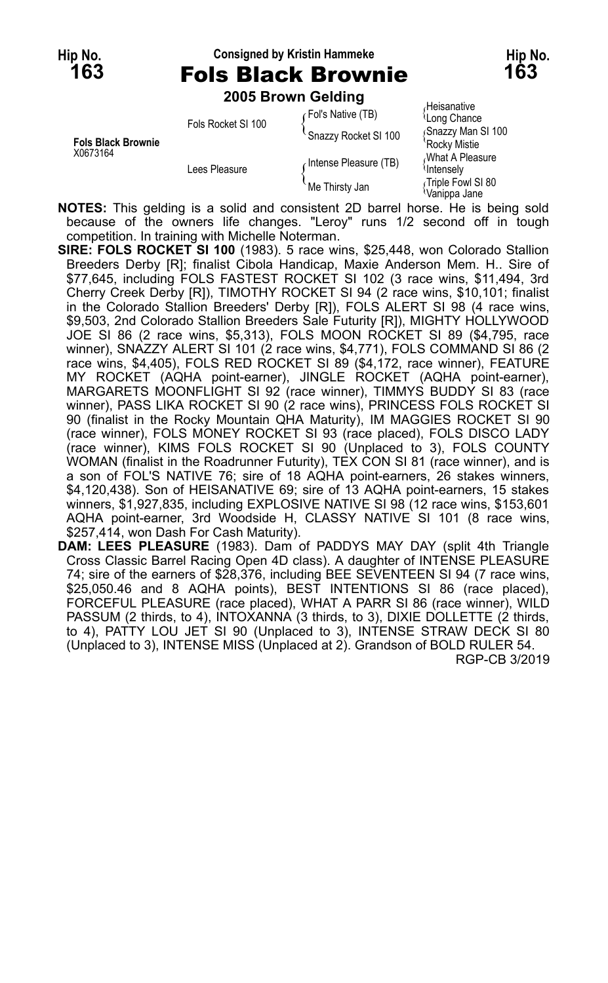**163** Fols Black Brownie **163**

### **Hip No. Consigned by Kristin Hammeke Hip No.**

**2005 Brown Gelding**

|                           |                    | <b>ZUUJ DIUWII GEIUIIIU</b> |                                         |
|---------------------------|--------------------|-----------------------------|-----------------------------------------|
|                           | Fols Rocket SI 100 | (Fol's Native (TB)          | Heisanative<br><sup>l</sup> Long Chance |
| <b>Fols Black Brownie</b> |                    | Snazzy Rocket SI 100        | Snazzy Man SI 100<br>'Rockv Mistie      |
| X0673164                  | Lees Pleasure      | Intense Pleasure (TB)       | What A Pleasure<br><b>Intensely</b>     |
|                           |                    | Me Thirsty Jan              | Triple Fowl SI 80<br>Vanippa Jane       |

**NOTES:** This gelding is a solid and consistent 2D barrel horse. He is being sold because of the owners life changes. "Leroy" runs 1/2 second off in tough competition. In training with Michelle Noterman.

- **SIRE: FOLS ROCKET SI 100** (1983). 5 race wins, \$25,448, won Colorado Stallion Breeders Derby [R]; finalist Cibola Handicap, Maxie Anderson Mem. H.. Sire of \$77,645, including FOLS FASTEST ROCKET SI 102 (3 race wins, \$11,494, 3rd Cherry Creek Derby [R]), TIMOTHY ROCKET SI 94 (2 race wins, \$10,101; finalist in the Colorado Stallion Breeders' Derby [R]), FOLS ALERT SI 98 (4 race wins, \$9,503, 2nd Colorado Stallion Breeders Sale Futurity [R]), MIGHTY HOLLYWOOD JOE SI 86 (2 race wins, \$5,313), FOLS MOON ROCKET SI 89 (\$4,795, race winner), SNAZZY ALERT SI 101 (2 race wins, \$4,771), FOLS COMMAND SI 86 (2 race wins, \$4,405), FOLS RED ROCKET SI 89 (\$4,172, race winner), FEATURE MY ROCKET (AQHA point-earner), JINGLE ROCKET (AQHA point-earner), MARGARETS MOONFLIGHT SI 92 (race winner), TIMMYS BUDDY SI 83 (race winner), PASS LIKA ROCKET SI 90 (2 race wins), PRINCESS FOLS ROCKET SI 90 (finalist in the Rocky Mountain QHA Maturity), IM MAGGIES ROCKET SI 90 (race winner), FOLS MONEY ROCKET SI 93 (race placed), FOLS DISCO LADY (race winner), KIMS FOLS ROCKET SI 90 (Unplaced to 3), FOLS COUNTY WOMAN (finalist in the Roadrunner Futurity), TEX CON SI 81 (race winner), and is a son of FOL'S NATIVE 76; sire of 18 AQHA point-earners, 26 stakes winners, \$4,120,438). Son of HEISANATIVE 69; sire of 13 AQHA point-earners, 15 stakes winners, \$1,927,835, including EXPLOSIVE NATIVE SI 98 (12 race wins, \$153,601 AQHA point-earner, 3rd Woodside H, CLASSY NATIVE SI 101 (8 race wins, \$257,414, won Dash For Cash Maturity).
- **DAM: LEES PLEASURE** (1983). Dam of PADDYS MAY DAY (split 4th Triangle Cross Classic Barrel Racing Open 4D class). A daughter of INTENSE PLEASURE 74; sire of the earners of \$28,376, including BEE SEVENTEEN SI 94 (7 race wins, \$25,050.46 and 8 AQHA points), BEST INTENTIONS SI 86 (race placed), FORCEFUL PLEASURE (race placed), WHAT A PARR SI 86 (race winner), WILD PASSUM (2 thirds, to 4), INTOXANNA (3 thirds, to 3), DIXIE DOLLETTE (2 thirds, to 4), PATTY LOU JET SI 90 (Unplaced to 3), INTENSE STRAW DECK SI 80 (Unplaced to 3), INTENSE MISS (Unplaced at 2). Grandson of BOLD RULER 54. RGP-CB 3/2019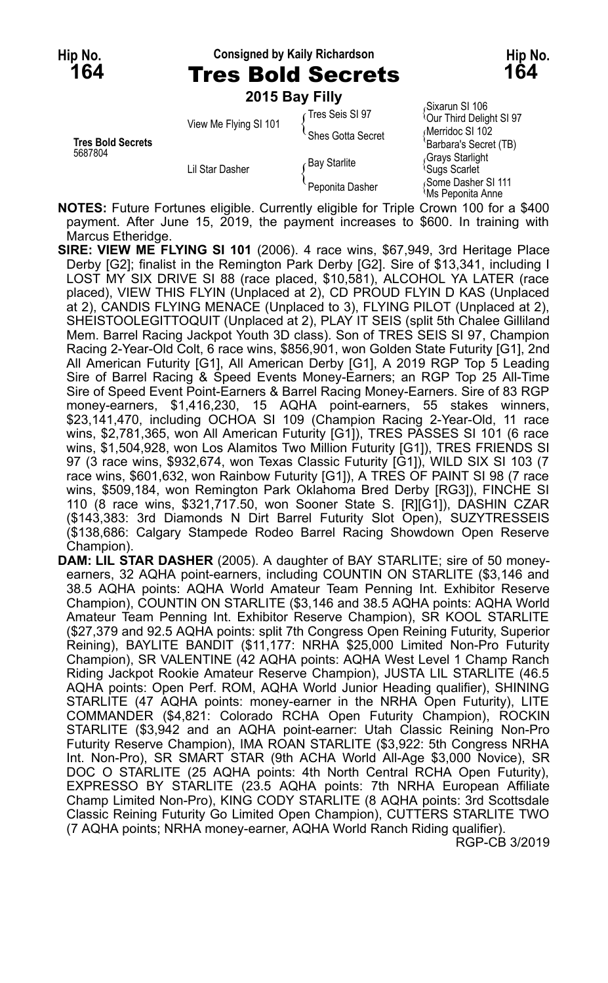#### **Hip No. Consigned by Kaily Richardson Hip No.**

**164** Tres Bold Secrets **164**

**2015 Bay Filly**

| <b>Tres Bold Secrets</b> | View Me Flying SI 101 | Tres Seis SI 97<br>Shes Gotta Secret | Sixarun SI 106<br><sup>1</sup> Our Third Delight SI 97<br>Merridoc SI 102<br>'Barbara's Secret (TB) |
|--------------------------|-----------------------|--------------------------------------|-----------------------------------------------------------------------------------------------------|
| 5687804                  | Lil Star Dasher       | <b>Bay Starlite</b>                  | Grays Starlight<br><sup>1</sup> Sugs Scarlet                                                        |
|                          |                       | Peponita Dasher                      | Some Dasher SI 111<br><sup>≀</sup> Ms Peponita Anne                                                 |

**NOTES:** Future Fortunes eligible. Currently eligible for Triple Crown 100 for a \$400 payment. After June 15, 2019, the payment increases to \$600. In training with Marcus Etheridge.

- **SIRE: VIEW ME FLYING SI 101** (2006). 4 race wins, \$67,949, 3rd Heritage Place Derby [G2]; finalist in the Remington Park Derby [G2]. Sire of \$13,341, including I LOST MY SIX DRIVE SI 88 (race placed, \$10,581), ALCOHOL YA LATER (race placed), VIEW THIS FLYIN (Unplaced at 2), CD PROUD FLYIN D KAS (Unplaced at 2), CANDIS FLYING MENACE (Unplaced to 3), FLYING PILOT (Unplaced at 2), SHÉISTOOLEGITTOQUIT (Unplaced at 2), PLAY IT SEIS (split 5th Chalee Gilliland Mem. Barrel Racing Jackpot Youth 3D class). Son of TRES SEIS SI 97, Champion Racing 2-Year-Old Colt, 6 race wins, \$856,901, won Golden State Futurity [G1], 2nd All American Futurity [G1], All American Derby [G1], A 2019 RGP Top 5 Leading Sire of Barrel Racing & Speed Events Money-Earners; an RGP Top 25 All-Time Sire of Speed Event Point-Earners & Barrel Racing Money-Earners. Sire of 83 RGP money-earners, \$1,416,230, 15 AQHA point-earners, 55 stakes winners, \$23,141,470, including OCHOA SI 109 (Champion Racing 2-Year-Old, 11 race wins, \$2,781,365, won All American Futurity [G1]), TRES PASSES SI 101 (6 race wins, \$1,504,928, won Los Alamitos Two Million Futurity [G1]), TRES FRIENDS SI 97 (3 race wins, \$932,674, won Texas Classic Futurity [G1]), WILD SIX SI 103 (7 race wins, \$601,632, won Rainbow Futurity [G1]), A TRES OF PAINT SI 98 (7 race wins, \$509,184, won Remington Park Oklahoma Bred Derby [RG3]), FINCHE SI 110 (8 race wins, \$321,717.50, won Sooner State S. [R][G1]), DASHIN CZAR (\$143,383: 3rd Diamonds N Dirt Barrel Futurity Slot Open), SUZYTRESSEIS (\$138,686: Calgary Stampede Rodeo Barrel Racing Showdown Open Reserve Champion).
- **DAM: LIL STAR DASHER** (2005). A daughter of BAY STARLITE; sire of 50 moneyearners, 32 AQHA point-earners, including COUNTIN ON STARLITE (\$3,146 and 38.5 AQHA points: AQHA World Amateur Team Penning Int. Exhibitor Reserve Champion), COUNTIN ON STARLITE (\$3,146 and 38.5 AQHA points: AQHA World Amateur Team Penning Int. Exhibitor Reserve Champion), SR KOOL STARLITE (\$27,379 and 92.5 AQHA points: split 7th Congress Open Reining Futurity, Superior Reining), BAYLITE BANDIT (\$11,177: NRHA \$25,000 Limited Non-Pro Futurity Champion), SR VALENTINE (42 AQHA points: AQHA West Level 1 Champ Ranch Riding Jackpot Rookie Amateur Reserve Champion), JUSTA LIL STARLITE (46.5 AQHA points: Open Perf. ROM, AQHA World Junior Heading qualifier), SHINING STARLITE (47 AQHA points: money-earner in the NRHA Open Futurity), LITE COMMANDER (\$4,821: Colorado RCHA Open Futurity Champion), ROCKIN STARLITE (\$3,942 and an AQHA point-earner: Utah Classic Reining Non-Pro Futurity Reserve Champion), IMA ROAN STARLITE (\$3,922: 5th Congress NRHA Int. Non-Pro), SR SMART STAR (9th ACHA World All-Age \$3,000 Novice), SR DOC O STARLITE (25 AQHA points: 4th North Central RCHA Open Futurity), EXPRESSO BY STARLITE (23.5 AQHA points: 7th NRHA European Affiliate Champ Limited Non-Pro), KING CODY STARLITE (8 AQHA points: 3rd Scottsdale Classic Reining Futurity Go Limited Open Champion), CUTTERS STARLITE TWO (7 AQHA points; NRHA money-earner, AQHA World Ranch Riding qualifier).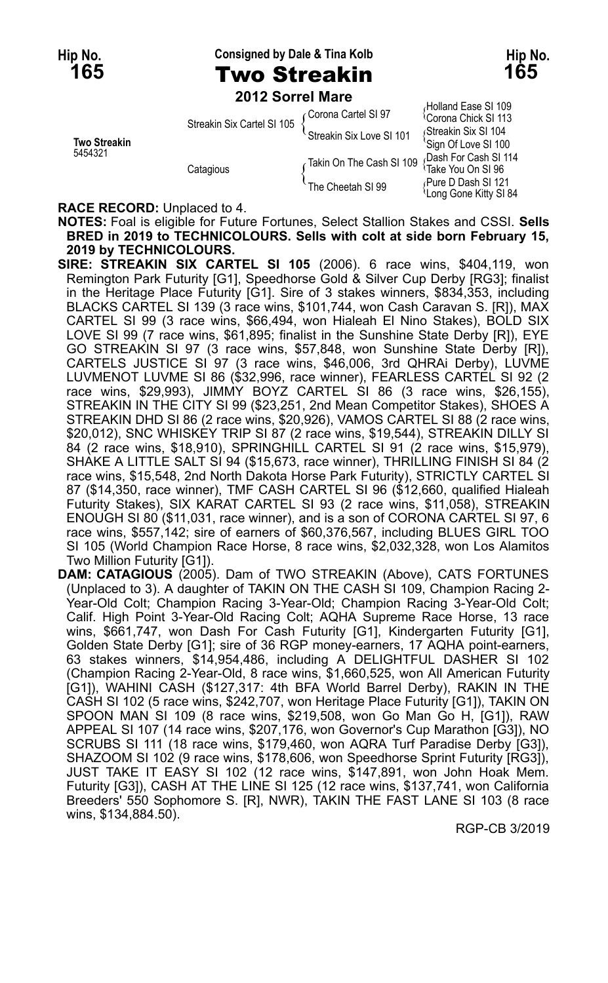**Hip No. Consigned by Dale & Tina Kolb Hip No.**

## **165** Two Streakin **165**

**2012 Sorrel Mare**

|                     | Streakin Six Cartel SI 105 | Corona Cartel SI 97      | α ινιιατιν ∟αδε οι τυσ<br><sup>1</sup> Corona Chick SI 113 |
|---------------------|----------------------------|--------------------------|------------------------------------------------------------|
|                     |                            | Streakin Six Love SI 101 | Streakin Six SI 104                                        |
| <b>Two Streakin</b> | Catagious                  |                          | 'Sign Of Love SI 100                                       |
| 5454321             |                            | Takin On The Cash SI 109 | Dash For Cash SI 114                                       |
|                     |                            |                          | <sup>1</sup> Take You On SI 96                             |
|                     |                            | The Cheetah SI 99        | Pure D Dash SI 121                                         |
|                     |                            |                          | <sup>1</sup> Long Gone Kitty SI 84                         |

Holland Ease SI 109 Streakin Six SI 104 Bash For Cash SI 114<br>Take You On SI 96

**RACE RECORD:** Unplaced to 4.

**NOTES:** Foal is eligible for Future Fortunes, Select Stallion Stakes and CSSI. **Sells BRED in 2019 to TECHNICOLOURS. Sells with colt at side born February 15, 2019 by TECHNICOLOURS.**

**SIRE: STREAKIN SIX CARTEL SI 105** (2006). 6 race wins, \$404,119, won Remington Park Futurity [G1], Speedhorse Gold & Silver Cup Derby [RG3]; finalist in the Heritage Place Futurity [G1]. Sire of 3 stakes winners, \$834,353, including BLACKS CARTEL SI 139 (3 race wins, \$101,744, won Cash Caravan S. [R]), MAX CARTEL SI 99 (3 race wins, \$66,494, won Hialeah El Nino Stakes), BOLD SIX LOVE SI 99 (7 race wins, \$61,895; finalist in the Sunshine State Derby [R]), EYE GO STREAKIN SI 97 (3 race wins, \$57,848, won Sunshine State Derby [R]), CARTELS JUSTICE SI 97 (3 race wins, \$46,006, 3rd QHRAi Derby), LUVME LUVMENOT LUVME SI 86 (\$32,996, race winner), FEARLESS CARTEL SI 92 (2 race wins, \$29,993), JIMMY BOYZ CARTEL SI 86 (3 race wins, \$26,155), STREAKIN IN THE CITY SI 99 (\$23,251, 2nd Mean Competitor Stakes), SHOES A STREAKIN DHD SI 86 (2 race wins, \$20,926), VAMOS CARTEL SI 88 (2 race wins, \$20,012), SNC WHISKEY TRIP SI 87 (2 race wins, \$19,544), STREAKIN DILLY SI 84 (2 race wins, \$18,910), SPRINGHILL CARTEL SI 91 (2 race wins, \$15,979), SHAKE A LITTLE SALT SI 94 (\$15,673, race winner), THRILLING FINISH SI 84 (2 race wins, \$15,548, 2nd North Dakota Horse Park Futurity), STRICTLY CARTEL SI 87 (\$14,350, race winner), TMF CASH CARTEL SI 96 (\$12,660, qualified Hialeah Futurity Stakes), SIX KARAT CARTEL SI 93 (2 race wins, \$11,058), STREAKIN ENOUGH SI 80 (\$11,031, race winner), and is a son of CORONA CARTEL SI 97, 6 race wins, \$557,142; sire of earners of \$60,376,567, including BLUES GIRL TOO SI 105 (World Champion Race Horse, 8 race wins, \$2,032,328, won Los Alamitos Two Million Futurity [G1]).

**DAM: CATAGIOUS** (2005). Dam of TWO STREAKIN (Above), CATS FORTUNES (Unplaced to 3). A daughter of TAKIN ON THE CASH SI 109, Champion Racing 2- Year-Old Colt; Champion Racing 3-Year-Old; Champion Racing 3-Year-Old Colt; Calif. High Point 3-Year-Old Racing Colt; AQHA Supreme Race Horse, 13 race wins, \$661,747, won Dash For Cash Futurity [G1], Kindergarten Futurity [G1], Golden State Derby [G1]; sire of 36 RGP money-earners, 17 AQHA point-earners, 63 stakes winners, \$14,954,486, including A DELIGHTFUL DASHER SI 102 (Champion Racing 2-Year-Old, 8 race wins, \$1,660,525, won All American Futurity [G1]), WAHINI CASH (\$127,317: 4th BFA World Barrel Derby), RAKIN IN THE CASH SI 102 (5 race wins, \$242,707, won Heritage Place Futurity [G1]), TAKIN ON SPOON MAN SI 109 (8 race wins, \$219,508, won Go Man Go H, [G1]), RAW APPEAL SI 107 (14 race wins, \$207,176, won Governor's Cup Marathon [G3]), NO SCRUBS SI 111 (18 race wins, \$179,460, won AQRA Turf Paradise Derby [G3]), SHAZOOM SI 102 (9 race wins, \$178,606, won Speedhorse Sprint Futurity [RG3]), JUST TAKE IT EASY SI 102 (12 race wins, \$147,891, won John Hoak Mem. Futurity [G3]), CASH AT THE LINE SI 125 (12 race wins, \$137,741, won California Breeders' 550 Sophomore S. [R], NWR), TAKIN THE FAST LANE SI 103 (8 race wins, \$134,884.50).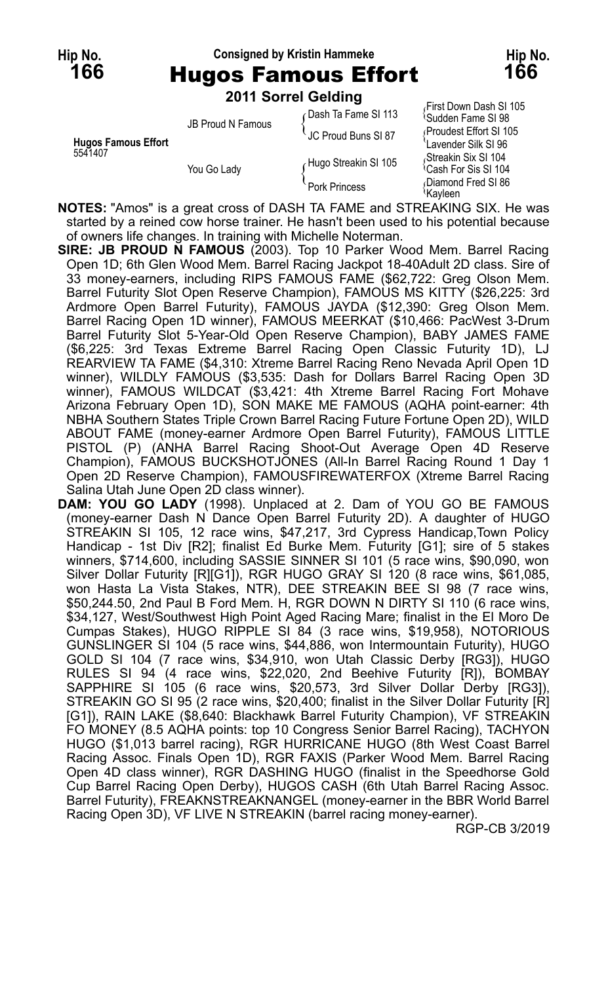### **Hip No. Consigned by Kristin Hammeke Hip No.**

**166** Hugos Famous Effort **166**

**2011 Sorrel Gelding**

|                            | <b>LUTT OUTER OCIUINE</b> |                      |                                                          |
|----------------------------|---------------------------|----------------------|----------------------------------------------------------|
|                            | <b>JB Proud N Famous</b>  | Dash Ta Fame SI 113  | First Down Dash SI 105<br><sup>1</sup> Sudden Fame SI 98 |
| <b>Hugos Famous Effort</b> |                           | UC Proud Buns SI 87  | Proudest Effort SI 105                                   |
| 5541407                    |                           | Hugo Streakin SI 105 | Lavender Silk SI 96<br>Streakin Six SI 104               |
|                            | You Go Lady               |                      | <sup>1</sup> Cash For Sis SI 104                         |
|                            |                           | Pork Princess        | Diamond Fred SI 86<br>≀Kavleen                           |

**NOTES:** "Amos" is a great cross of DASH TA FAME and STREAKING SIX. He was started by a reined cow horse trainer. He hasn't been used to his potential because of owners life changes. In training with Michelle Noterman.

**SIRE: JB PROUD N FAMOUS** (2003). Top 10 Parker Wood Mem. Barrel Racing Open 1D; 6th Glen Wood Mem. Barrel Racing Jackpot 18-40Adult 2D class. Sire of 33 money-earners, including RIPS FAMOUS FAME (\$62,722: Greg Olson Mem. Barrel Futurity Slot Open Reserve Champion), FAMOUS MS KITTY (\$26,225: 3rd Ardmore Open Barrel Futurity), FAMOUS JAYDA (\$12,390: Greg Olson Mem. Barrel Racing Open 1D winner), FAMOUS MEERKAT (\$10,466: PacWest 3-Drum Barrel Futurity Slot 5-Year-Old Open Reserve Champion), BABY JAMES FAME (\$6,225: 3rd Texas Extreme Barrel Racing Open Classic Futurity 1D), LJ REARVIEW TA FAME (\$4,310: Xtreme Barrel Racing Reno Nevada April Open 1D winner), WILDLY FAMOUS (\$3,535: Dash for Dollars Barrel Racing Open 3D winner), FAMOUS WILDCAT (\$3,421: 4th Xtreme Barrel Racing Fort Mohave Arizona February Open 1D), SON MAKE ME FAMOUS (AQHA point-earner: 4th NBHA Southern States Triple Crown Barrel Racing Future Fortune Open 2D), WILD ABOUT FAME (money-earner Ardmore Open Barrel Futurity), FAMOUS LITTLE PISTOL (P) (ANHA Barrel Racing Shoot-Out Average Open 4D Reserve Champion), FAMOUS BUCKSHOTJONES (All-In Barrel Racing Round 1 Day 1 Open 2D Reserve Champion), FAMOUSFIREWATERFOX (Xtreme Barrel Racing Salina Utah June Open 2D class winner).

**DAM: YOU GO LADY** (1998). Unplaced at 2. Dam of YOU GO BE FAMOUS (money-earner Dash N Dance Open Barrel Futurity 2D). A daughter of HUGO STREAKIN SI 105, 12 race wins, \$47,217, 3rd Cypress Handicap, Town Policy Handicap - 1st Div [R2]; finalist Ed Burke Mem. Futurity [G1]; sire of 5 stakes winners, \$714,600, including SASSIE SINNER SI 101 (5 race wins, \$90,090, won Silver Dollar Futurity [R][G1]), RGR HUGO GRAY SI 120 (8 race wins, \$61,085, won Hasta La Vista Stakes, NTR), DEE STREAKIN BEE SI 98 (7 race wins, \$50,244.50, 2nd Paul B Ford Mem. H, RGR DOWN N DIRTY SI 110 (6 race wins, \$34,127, West/Southwest High Point Aged Racing Mare; finalist in the El Moro De Cumpas Stakes), HUGO RIPPLE SI 84 (3 race wins, \$19,958), NOTORIOUS GUNSLINGER SI 104 (5 race wins, \$44,886, won Intermountain Futurity), HUGO GOLD SI 104 (7 race wins, \$34,910, won Utah Classic Derby [RG3]), HUGO RULES SI 94 (4 race wins, \$22,020, 2nd Beehive Futurity [R]), BOMBAY SAPPHIRE SI 105 (6 race wins, \$20,573, 3rd Silver Dollar Derby [RG3]), STREAKIN GO SI 95 (2 race wins, \$20,400; finalist in the Silver Dollar Futurity [R] [G1]), RAIN LAKE (\$8,640: Blackhawk Barrel Futurity Champion), VF STREAKIN FO MONEY (8.5 AQHA points: top 10 Congress Senior Barrel Racing), TACHYON HUGO (\$1,013 barrel racing), RGR HURRICANE HUGO (8th West Coast Barrel Racing Assoc. Finals Open 1D), RGR FAXIS (Parker Wood Mem. Barrel Racing Open 4D class winner), RGR DASHING HUGO (finalist in the Speedhorse Gold Cup Barrel Racing Open Derby), HUGOS CASH (6th Utah Barrel Racing Assoc. Barrel Futurity), FREAKNSTREAKNANGEL (money-earner in the BBR World Barrel Racing Open 3D), VF LIVE N STREAKIN (barrel racing money-earner).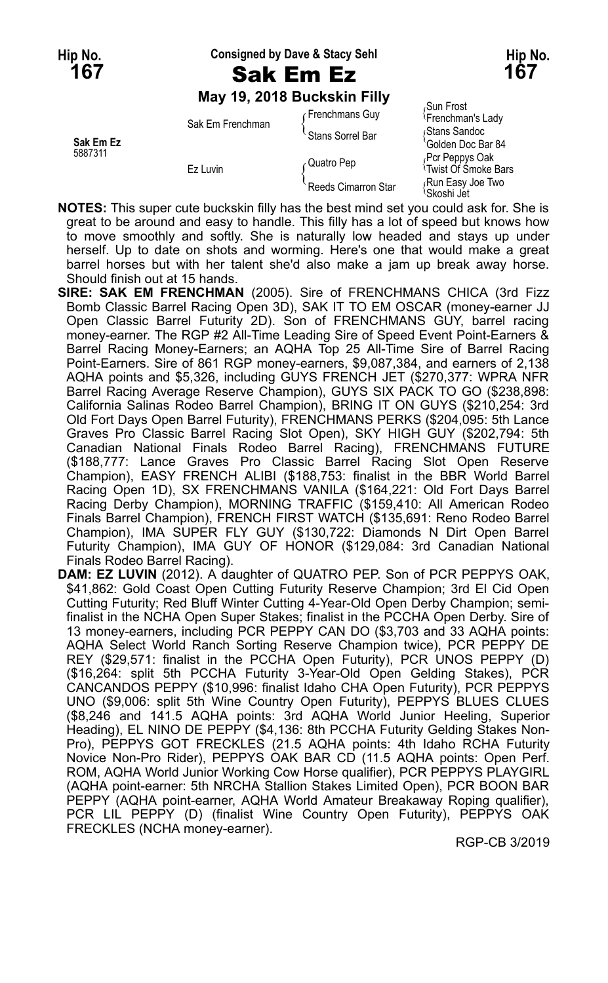**Hip No. Consigned by Dave & Stacy Sehl Hip No.**

**May 19, 2018 Buckskin Filly**

|           |                  | Frenchmans Guy      | Sun Frost<br><sup>1</sup> Frenchman's Lady         |
|-----------|------------------|---------------------|----------------------------------------------------|
| Sak Em Ez | Sak Em Frenchman | Stans Sorrel Bar    | Stans Sandoc<br>Golden Doc Bar 84                  |
| 5887311   | Ez Luvin         | Quatro Pep          | Pcr Peppys Oak<br><sup>1</sup> Twist Of Smoke Bars |
|           |                  | Reeds Cimarron Star | Run Easy Joe Two<br>'Skoshi Jet                    |

**NOTES:** This super cute buckskin filly has the best mind set you could ask for. She is great to be around and easy to handle. This filly has a lot of speed but knows how to move smoothly and softly. She is naturally low headed and stays up under herself. Up to date on shots and worming. Here's one that would make a great barrel horses but with her talent she'd also make a jam up break away horse. Should finish out at 15 hands.

- **SIRE: SAK EM FRENCHMAN** (2005). Sire of FRENCHMANS CHICA (3rd Fizz Bomb Classic Barrel Racing Open 3D), SAK IT TO EM OSCAR (money-earner JJ Open Classic Barrel Futurity 2D). Son of FRENCHMANS GUY, barrel racing money-earner. The RGP #2 All-Time Leading Sire of Speed Event Point-Earners & Barrel Racing Money-Earners; an AQHA Top 25 All-Time Sire of Barrel Racing Point-Earners. Sire of 861 RGP money-earners, \$9,087,384, and earners of 2,138 AQHA points and \$5,326, including GUYS FRENCH JET (\$270,377: WPRA NFR Barrel Racing Average Reserve Champion), GUYS SIX PACK TO GO (\$238,898: California Salinas Rodeo Barrel Champion), BRING IT ON GUYS (\$210,254: 3rd Old Fort Days Open Barrel Futurity), FRENCHMANS PERKS (\$204,095: 5th Lance Graves Pro Classic Barrel Racing Slot Open), SKY HIGH GUY (\$202,794: 5th Canadian National Finals Rodeo Barrel Racing), FRENCHMANS FUTURE (\$188,777: Lance Graves Pro Classic Barrel Racing Slot Open Reserve Champion), EASY FRENCH ALIBI (\$188,753: finalist in the BBR World Barrel Racing Open 1D), SX FRENCHMANS VANILA (\$164,221: Old Fort Days Barrel Racing Derby Champion), MORNING TRAFFIC (\$159,410: All American Rodeo Finals Barrel Champion), FRENCH FIRST WATCH (\$135,691: Reno Rodeo Barrel Champion), IMA SUPER FLY GUY (\$130,722: Diamonds N Dirt Open Barrel Futurity Champion), IMA GUY OF HONOR (\$129,084: 3rd Canadian National Finals Rodeo Barrel Racing).
- **DAM: EZ LUVIN** (2012). A daughter of QUATRO PEP. Son of PCR PEPPYS OAK, \$41,862: Gold Coast Open Cutting Futurity Reserve Champion; 3rd El Cid Open Cutting Futurity; Red Bluff Winter Cutting 4-Year-Old Open Derby Champion; semifinalist in the NCHA Open Super Stakes; finalist in the PCCHA Open Derby. Sire of 13 money-earners, including PCR PEPPY CAN DO (\$3,703 and 33 AQHA points: AQHA Select World Ranch Sorting Reserve Champion twice), PCR PEPPY DE REY (\$29,571: finalist in the PCCHA Open Futurity), PCR UNOS PEPPY (D) (\$16,264: split 5th PCCHA Futurity 3-Year-Old Open Gelding Stakes), PCR CANCANDOS PEPPY (\$10,996: finalist Idaho CHA Open Futurity), PCR PEPPYS UNO (\$9,006: split 5th Wine Country Open Futurity), PEPPYS BLUES CLUES (\$8,246 and 141.5 AQHA points: 3rd AQHA World Junior Heeling, Superior Heading), EL NINO DE PEPPY (\$4,136: 8th PCCHA Futurity Gelding Stakes Non-Pro), PEPPYS GOT FRECKLES (21.5 AQHA points: 4th Idaho RCHA Futurity Novice Non-Pro Rider), PEPPYS OAK BAR CD (11.5 AQHA points: Open Perf. ROM, AQHA World Junior Working Cow Horse qualifier), PCR PEPPYS PLAYGIRL (AQHA point-earner: 5th NRCHA Stallion Stakes Limited Open), PCR BOON BAR PEPPY (AQHA point-earner, AQHA World Amateur Breakaway Roping qualifier), PCR LIL PEPPY (D) (finalist Wine Country Open Futurity), PEPPYS OAK FRECKLES (NCHA money-earner).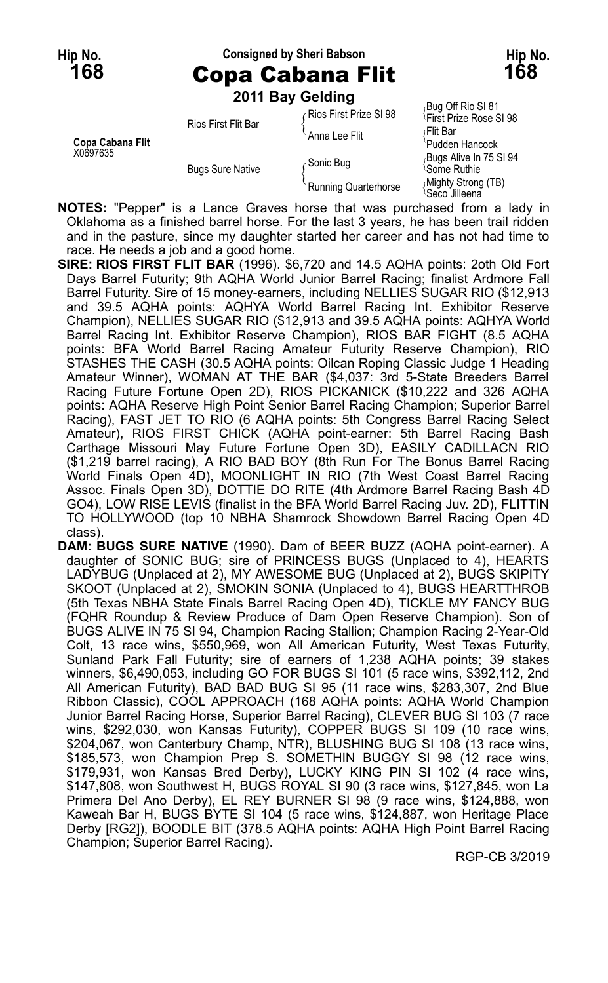### **Hip No. Consigned by Sheri Babson Hip No.**

**168** Copa Cabana Flit **168 2011 Bay Gelding**

| 2011 Bay Gelding |  |  |
|------------------|--|--|
|                  |  |  |

|                  |                         | LUIT DUY OGNING        |                                                          |
|------------------|-------------------------|------------------------|----------------------------------------------------------|
|                  | Rios First Flit Bar     | Rios First Prize SI 98 | Bug Off Rio SI 81<br><sup>1</sup> First Prize Rose SI 98 |
| Copa Cabana Flit |                         | Anna Lee Flit          | ≀Flit Bar<br>'Pudden Hancock                             |
| X0697635         | <b>Bugs Sure Native</b> | Gonic Bug              | Bugs Alive In 75 SI 94<br><sup>≀</sup> Some Ruthie       |
|                  |                         | Running Quarterhorse   | (Mighty Strong (TB)<br><sup>l</sup> Seco Jilleena        |

**NOTES:** "Pepper" is a Lance Graves horse that was purchased from a lady in Oklahoma as a finished barrel horse. For the last 3 years, he has been trail ridden and in the pasture, since my daughter started her career and has not had time to race. He needs a job and a good home.

**SIRE: RIOS FIRST FLIT BAR** (1996). \$6,720 and 14.5 AQHA points: 2oth Old Fort Days Barrel Futurity; 9th AQHA World Junior Barrel Racing; finalist Ardmore Fall Barrel Futurity. Sire of 15 money-earners, including NELLIES SUGAR RIO (\$12,913 and 39.5 AQHA points: AQHYA World Barrel Racing Int. Exhibitor Reserve Champion), NELLIES SUGAR RIO (\$12,913 and 39.5 AQHA points: AQHYA World Barrel Racing Int. Exhibitor Reserve Champion), RIOS BAR FIGHT (8.5 AQHA points: BFA World Barrel Racing Amateur Futurity Reserve Champion), RIO STASHES THE CASH (30.5 AQHA points: Oilcan Roping Classic Judge 1 Heading Amateur Winner), WOMAN AT THE BAR (\$4,037: 3rd 5-State Breeders Barrel Racing Future Fortune Open 2D), RIOS PICKANICK (\$10,222 and 326 AQHA points: AQHA Reserve High Point Senior Barrel Racing Champion; Superior Barrel Racing), FAST JET TO RIO (6 AQHA points: 5th Congress Barrel Racing Select Amateur), RIOS FIRST CHICK (AQHA point-earner: 5th Barrel Racing Bash Carthage Missouri May Future Fortune Open 3D), EASILY CADILLACN RIO (\$1,219 barrel racing), A RIO BAD BOY (8th Run For The Bonus Barrel Racing World Finals Open 4D), MOONLIGHT IN RIO (7th West Coast Barrel Racing Assoc. Finals Open 3D), DOTTIE DO RITE (4th Ardmore Barrel Racing Bash 4D GO4), LOW RISE LEVIS (finalist in the BFA World Barrel Racing Juv. 2D), FLITTIN TO HOLLYWOOD (top 10 NBHA Shamrock Showdown Barrel Racing Open 4D class).

**DAM: BUGS SURE NATIVE** (1990). Dam of BEER BUZZ (AQHA point-earner). A daughter of SONIC BUG; sire of PRINCESS BUGS (Unplaced to 4), HEARTS LADYBUG (Unplaced at 2), MY AWESOME BUG (Unplaced at 2), BUGS SKIPITY SKOOT (Unplaced at 2), SMOKIN SONIA (Unplaced to 4), BUGS HEARTTHROB (5th Texas NBHA State Finals Barrel Racing Open 4D), TICKLE MY FANCY BUG (FQHR Roundup & Review Produce of Dam Open Reserve Champion). Son of BUGS ALIVE IN 75 SI 94, Champion Racing Stallion; Champion Racing 2-Year-Old Colt, 13 race wins, \$550,969, won All American Futurity, West Texas Futurity, Sunland Park Fall Futurity; sire of earners of 1,238 AQHA points; 39 stakes winners, \$6,490,053, including GO FOR BUGS SI 101 (5 race wins, \$392,112, 2nd All American Futurity), BAD BAD BUG SI 95 (11 race wins, \$283,307, 2nd Blue Ribbon Classic), COOL APPROACH (168 AQHA points: AQHA World Champion Junior Barrel Racing Horse, Superior Barrel Racing), CLEVER BUG SI 103 (7 race wins, \$292,030, won Kansas Futurity), COPPER BUGS SI 109 (10 race wins, \$204,067, won Canterbury Champ, NTR), BLUSHING BUG SI 108 (13 race wins, \$185,573, won Champion Prep S. SOMETHIN BUGGY SI 98 (12 race wins, \$179,931, won Kansas Bred Derby), LUCKY KING PIN SI 102 (4 race wins, \$147,808, won Southwest H, BUGS ROYAL SI 90 (3 race wins, \$127,845, won La Primera Del Ano Derby), EL REY BURNER SI 98 (9 race wins, \$124,888, won Kaweah Bar H, BUGS BYTE SI 104 (5 race wins, \$124,887, won Heritage Place Derby [RG2]), BOODLE BIT (378.5 AQHA points: AQHA High Point Barrel Racing Champion; Superior Barrel Racing).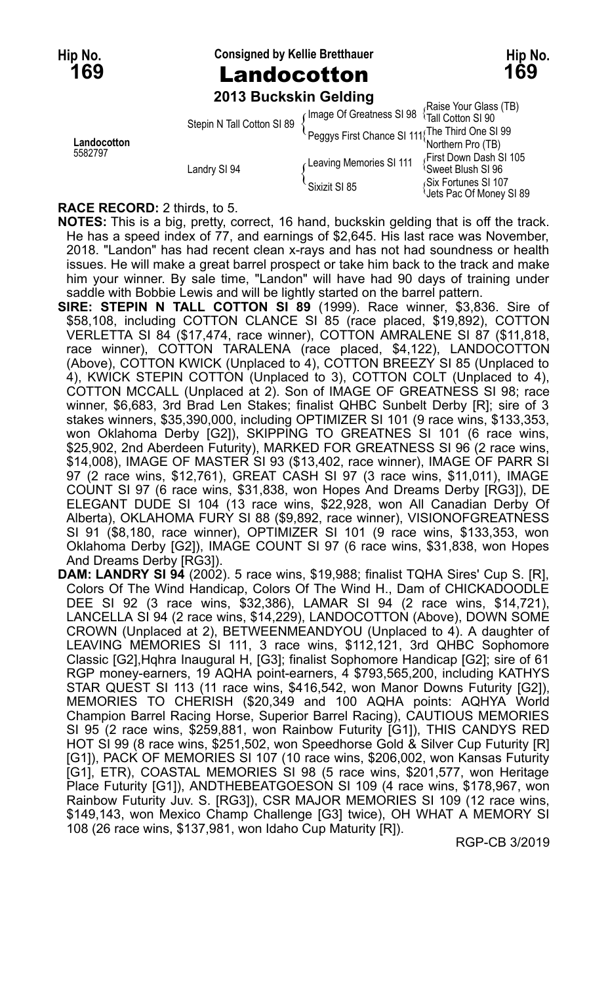**Hip No. Consigned by Kellie Bretthauer Hip No.**

## **169** Landocotton **169**

**2013 Buckskin Gelding**

|                        | Stepin N Tall Cotton SI 89 |                                          | (Raise Your Glass (TB)<br>Image Of Greatness SI 98<br><sup>1</sup> Tall Cotton SI 90<br>Peggys First Chance SI 111 The Third One SI 99  |
|------------------------|----------------------------|------------------------------------------|-----------------------------------------------------------------------------------------------------------------------------------------|
| Landocotton<br>5582797 | Landry SI 94               | Leaving Memories SI 111<br>Sixizit SI 85 | 'Northern Pro (TB)<br>First Down Dash SI 105<br><sup>≀</sup> Sweet Blush SI 96<br>Six Fortunes SI 107<br><b>Uets Pac Of Money SI 89</b> |

#### **RACE RECORD:** 2 thirds, to 5.

**NOTES:** This is a big, pretty, correct, 16 hand, buckskin gelding that is off the track. He has a speed index of 77, and earnings of \$2,645. His last race was November, 2018. "Landon" has had recent clean x-rays and has not had soundness or health issues. He will make a great barrel prospect or take him back to the track and make him your winner. By sale time, "Landon" will have had 90 days of training under saddle with Bobbie Lewis and will be lightly started on the barrel pattern.

- **SIRE: STEPIN N TALL COTTON SI 89** (1999). Race winner, \$3,836. Sire of \$58,108, including COTTON CLANCE SI 85 (race placed, \$19,892), COTTON VERLETTA SI 84 (\$17,474, race winner), COTTON AMRALENE SI 87 (\$11,818, race winner), COTTON TARALENA (race placed, \$4,122), LANDOCOTTON (Above), COTTON KWICK (Unplaced to 4), COTTON BREEZY SI 85 (Unplaced to 4), KWICK STEPIN COTTON (Unplaced to 3), COTTON COLT (Unplaced to 4), COTTON MCCALL (Unplaced at 2). Son of IMAGE OF GREATNESS SI 98; race winner, \$6,683, 3rd Brad Len Stakes; finalist QHBC Sunbelt Derby [R]; sire of 3 stakes winners, \$35,390,000, including OPTIMIZER SI 101 (9 race wins, \$133,353, won Oklahoma Derby [G2]), SKIPPING TO GREATNES SI 101 (6 race wins, \$25,902, 2nd Aberdeen Futurity), MARKED FOR GREATNESS SI 96 (2 race wins, \$14,008), IMAGE OF MASTER SI 93 (\$13,402, race winner), IMAGE OF PARR SI 97 (2 race wins, \$12,761), GREAT CASH SI 97 (3 race wins, \$11,011), IMAGE COUNT SI 97 (6 race wins, \$31,838, won Hopes And Dreams Derby [RG3]), DE ELEGANT DUDE SI 104 (13 race wins, \$22,928, won All Canadian Derby Of Alberta), OKLAHOMA FURY SI 88 (\$9,892, race winner), VISIONOFGREATNESS SI 91 (\$8,180, race winner), OPTIMIZER SI 101 (9 race wins, \$133,353, won Oklahoma Derby [G2]), IMAGE COUNT SI 97 (6 race wins, \$31,838, won Hopes And Dreams Derby [RG3]).
- **DAM: LANDRY SI 94** (2002). 5 race wins, \$19,988; finalist TQHA Sires' Cup S. [R], Colors Of The Wind Handicap, Colors Of The Wind H., Dam of CHICKADOODLE DEE SI 92 (3 race wins, \$32,386), LAMAR SI 94 (2 race wins, \$14,721), LANCELLA SI 94 (2 race wins, \$14,229), LANDOCOTTON (Above), DOWN SOME CROWN (Unplaced at 2), BETWEENMEANDYOU (Unplaced to 4). A daughter of LEAVING MEMORIES SI 111, 3 race wins, \$112,121, 3rd QHBC Sophomore Classic [G2],Hqhra Inaugural H, [G3]; finalist Sophomore Handicap [G2]; sire of 61 RGP money-earners, 19 AQHA point-earners, 4 \$793,565,200, including KATHYS STAR QUEST SI 113 (11 race wins, \$416,542, won Manor Downs Futurity [G2]), MEMORIES TO CHERISH (\$20,349 and 100 AQHA points: AQHYA World Champion Barrel Racing Horse, Superior Barrel Racing), CAUTIOUS MEMORIES SI 95 (2 race wins, \$259,881, won Rainbow Futurity [G1]), THIS CANDYS RED HOT SI 99 (8 race wins, \$251,502, won Speedhorse Gold & Silver Cup Futurity [R] [G1]), PACK OF MEMORIES SI 107 (10 race wins, \$206,002, won Kansas Futurity [G1], ETR), COASTAL MEMORIES SI 98 (5 race wins, \$201,577, won Heritage Place Futurity [G1]), ANDTHEBEATGOESON SI 109 (4 race wins, \$178,967, won Rainbow Futurity Juv. S. [RG3]), CSR MAJOR MEMORIES SI 109 (12 race wins, \$149,143, won Mexico Champ Challenge [G3] twice), OH WHAT A MEMORY SI 108 (26 race wins, \$137,981, won Idaho Cup Maturity [R]).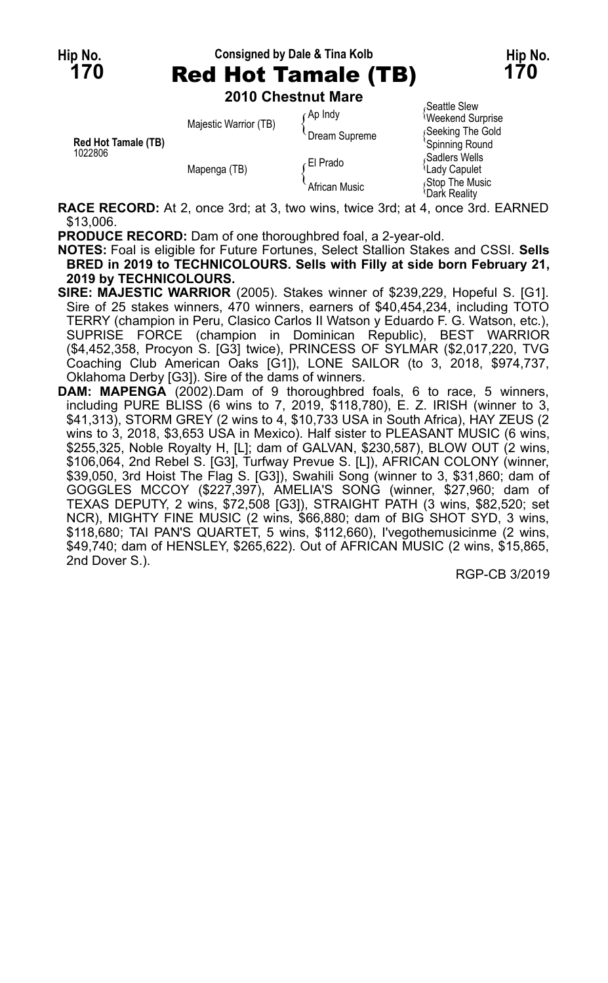# **Hip No. Consigned by Dale & Tina Kolb Hip No. 170** Red Hot Tamale (TB) **170**

**2010 Chestnut Mare**

| <b>Red Hot Tamale (TB)</b> | Majestic Warrior (TB) | $($ Ap Indy<br>Dream Supreme | Seattle Slew<br>Weekend Surprise<br>Seeking The Gold<br>'Spinning Round |
|----------------------------|-----------------------|------------------------------|-------------------------------------------------------------------------|
| 1022806                    | Mapenga (TB)          | El Prado                     | Sadlers Wells<br><sup>l</sup> Lady Capulet                              |
|                            |                       | African Music                | Stop The Music<br>Dark Reality                                          |

**RACE RECORD:** At 2, once 3rd; at 3, two wins, twice 3rd; at 4, once 3rd. EARNED \$13,006.

**PRODUCE RECORD:** Dam of one thoroughbred foal, a 2-year-old.

**NOTES:** Foal is eligible for Future Fortunes, Select Stallion Stakes and CSSI. **Sells BRED in 2019 to TECHNICOLOURS. Sells with Filly at side born February 21, 2019 by TECHNICOLOURS.**

- **SIRE: MAJESTIC WARRIOR** (2005). Stakes winner of \$239,229, Hopeful S. [G1]. Sire of 25 stakes winners, 470 winners, earners of \$40,454,234, including TOTO TERRY (champion in Peru, Clasico Carlos II Watson y Eduardo F. G. Watson, etc.), SUPRISE FORCE (champion in Dominican Republic), BEST WARRIOR (\$4,452,358, Procyon S. [G3] twice), PRINCESS OF SYLMAR (\$2,017,220, TVG Coaching Club American Oaks [G1]), LONE SAILOR (to 3, 2018, \$974,737, Oklahoma Derby [G3]). Sire of the dams of winners.
- DAM: MAPENGA (2002).Dam of 9 thoroughbred foals, 6 to race, 5 winners, including PURE BLISS (6 wins to 7, 2019, \$118,780), E. Z. IRISH (winner to 3, \$41,313), STORM GREY (2 wins to 4, \$10,733 USA in South Africa), HAY ZEUS (2 wins to 3, 2018, \$3,653 USA in Mexico). Half sister to PLEASANT MUSIC (6 wins, \$255,325, Noble Royalty H, [L]; dam of GALVAN, \$230,587), BLOW OUT (2 wins, \$106,064, 2nd Rebel S. [G3], Turfway Prevue S. [L]), AFRICAN COLONY (winner, \$39,050, 3rd Hoist The Flag S. [G3]), Swahili Song (winner to 3, \$31,860; dam of GOGGLES MCCOY (\$227,397), AMELIA'S SONG (winner, \$27,960; dam of TEXAS DEPUTY, 2 wins, \$72,508 [G3]), STRAIGHT PATH (3 wins, \$82,520; set NCR), MIGHTY FINE MUSIC (2 wins, \$66,880; dam of BIG SHOT SYD, 3 wins, \$118,680; TAI PAN'S QUARTET, 5 wins, \$112,660), I'vegothemusicinme (2 wins, \$49,740; dam of HENSLEY, \$265,622). Out of AFRICAN MUSIC (2 wins, \$15,865, 2nd Dover S.).